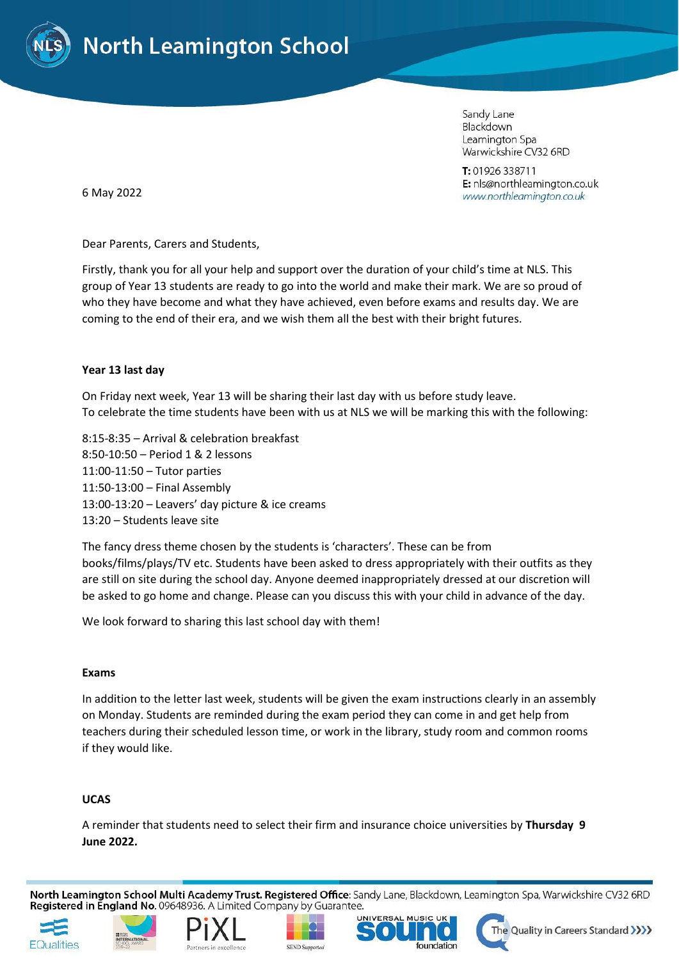

Sandy Lane Blackdown Leamington Spa Warwickshire CV32 6RD

T: 01926 338711 E: nls@northleamington.co.uk www.northleamington.co.uk

6 May 2022

Dear Parents, Carers and Students,

Firstly, thank you for all your help and support over the duration of your child's time at NLS. This group of Year 13 students are ready to go into the world and make their mark. We are so proud of who they have become and what they have achieved, even before exams and results day. We are coming to the end of their era, and we wish them all the best with their bright futures.

# **Year 13 last day**

On Friday next week, Year 13 will be sharing their last day with us before study leave. To celebrate the time students have been with us at NLS we will be marking this with the following:

8:15-8:35 – Arrival & celebration breakfast 8:50-10:50 – Period 1 & 2 lessons 11:00-11:50 – Tutor parties 11:50-13:00 – Final Assembly 13:00-13:20 – Leavers' day picture & ice creams 13:20 – Students leave site

The fancy dress theme chosen by the students is 'characters'. These can be from books/films/plays/TV etc. Students have been asked to dress appropriately with their outfits as they are still on site during the school day. Anyone deemed inappropriately dressed at our discretion will be asked to go home and change. Please can you discuss this with your child in advance of the day.

We look forward to sharing this last school day with them!

## **Exams**

In addition to the letter last week, students will be given the exam instructions clearly in an assembly on Monday. Students are reminded during the exam period they can come in and get help from teachers during their scheduled lesson time, or work in the library, study room and common rooms if they would like.

## **UCAS**

A reminder that students need to select their firm and insurance choice universities by **Thursday 9 June 2022.**

North Leamington School Multi Academy Trust. Registered Office: Sandy Lane, Blackdown, Leamington Spa, Warwickshire CV32 6RD Registered in England No. 09648936. A Limited Company by Guarantee.